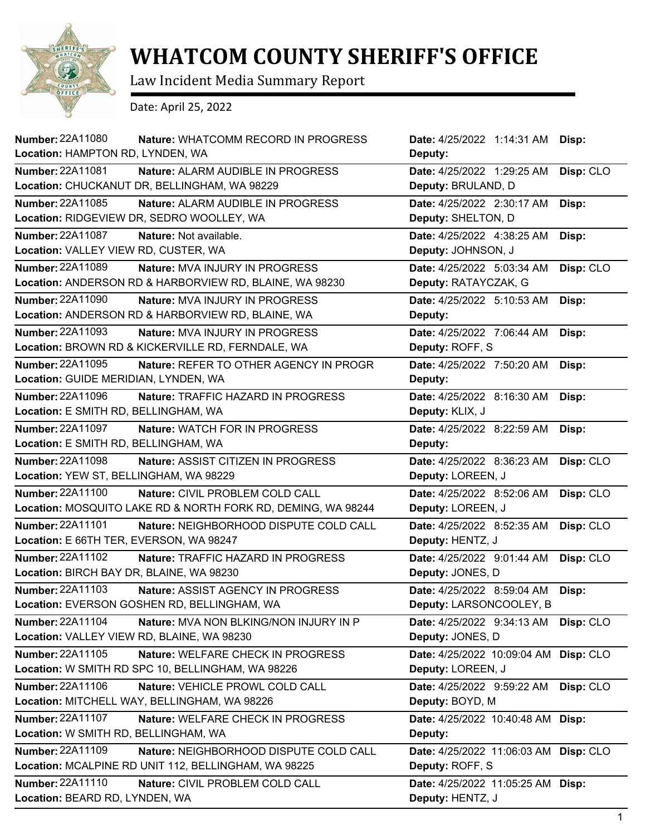

## **WHATCOM COUNTY SHERIFF'S OFFICE**

Law Incident Media Summary Report

Date: April 25, 2022

| Number: 22A11080<br>Nature: WHATCOMM RECORD IN PROGRESS<br>Location: HAMPTON RD, LYNDEN, WA                               | Date: 4/25/2022 1:14:31 AM Disp:<br>Deputy:                |           |
|---------------------------------------------------------------------------------------------------------------------------|------------------------------------------------------------|-----------|
| <b>Number: 22A11081</b><br>Nature: ALARM AUDIBLE IN PROGRESS<br>Location: CHUCKANUT DR, BELLINGHAM, WA 98229              | Date: 4/25/2022 1:29:25 AM<br>Deputy: BRULAND, D           | Disp: CLO |
| Number: 22A11085<br>Nature: ALARM AUDIBLE IN PROGRESS<br>Location: RIDGEVIEW DR, SEDRO WOOLLEY, WA                        | Date: 4/25/2022 2:30:17 AM<br>Deputy: SHELTON, D           | Disp:     |
| <b>Number: 22A11087</b><br>Nature: Not available.<br>Location: VALLEY VIEW RD, CUSTER, WA                                 | Date: 4/25/2022 4:38:25 AM<br>Deputy: JOHNSON, J           | Disp:     |
| Number: 22A11089<br>Nature: MVA INJURY IN PROGRESS<br>Location: ANDERSON RD & HARBORVIEW RD, BLAINE, WA 98230             | Date: 4/25/2022 5:03:34 AM<br>Deputy: RATAYCZAK, G         | Disp: CLO |
| <b>Number: 22A11090</b><br>Nature: MVA INJURY IN PROGRESS<br>Location: ANDERSON RD & HARBORVIEW RD, BLAINE, WA            | Date: 4/25/2022 5:10:53 AM<br>Deputy:                      | Disp:     |
| <b>Number: 22A11093</b><br><b>Nature: MVA INJURY IN PROGRESS</b><br>Location: BROWN RD & KICKERVILLE RD, FERNDALE, WA     | Date: 4/25/2022 7:06:44 AM<br>Deputy: ROFF, S              | Disp:     |
| <b>Number: 22A11095</b><br>Nature: REFER TO OTHER AGENCY IN PROGR<br>Location: GUIDE MERIDIAN, LYNDEN, WA                 | Date: 4/25/2022 7:50:20 AM<br>Deputy:                      | Disp:     |
| Number: 22A11096<br>Nature: TRAFFIC HAZARD IN PROGRESS<br>Location: E SMITH RD, BELLINGHAM, WA                            | Date: 4/25/2022 8:16:30 AM<br>Deputy: KLIX, J              | Disp:     |
| <b>Number: 22A11097</b><br>Nature: WATCH FOR IN PROGRESS<br>Location: E SMITH RD, BELLINGHAM, WA                          | Date: 4/25/2022 8:22:59 AM<br>Deputy:                      | Disp:     |
| <b>Number: 22A11098</b><br>Nature: ASSIST CITIZEN IN PROGRESS<br>Location: YEW ST, BELLINGHAM, WA 98229                   | Date: 4/25/2022 8:36:23 AM<br>Deputy: LOREEN, J            | Disp: CLO |
| Number: 22A11100<br>Nature: CIVIL PROBLEM COLD CALL<br>Location: MOSQUITO LAKE RD & NORTH FORK RD, DEMING, WA 98244       | Date: 4/25/2022 8:52:06 AM<br>Deputy: LOREEN, J            | Disp: CLO |
| <b>Number: 22A11101</b><br>Nature: NEIGHBORHOOD DISPUTE COLD CALL<br>Location: E 66TH TER, EVERSON, WA 98247              | Date: 4/25/2022 8:52:35 AM<br>Deputy: HENTZ, J             | Disp: CLO |
| <b>Number: 22A11102</b><br>Nature: TRAFFIC HAZARD IN PROGRESS<br>Location: BIRCH BAY DR, BLAINE, WA 98230                 | Date: 4/25/2022 9:01:44 AM<br>Deputy: JONES, D             | Disp: CLO |
| <b>Number: 22A11103</b><br>Nature: ASSIST AGENCY IN PROGRESS<br>Location: EVERSON GOSHEN RD, BELLINGHAM, WA               | Date: 4/25/2022 8:59:04 AM<br>Deputy: LARSONCOOLEY, B      | Disp:     |
| <b>Number: 22A11104</b><br>Nature: MVA NON BLKING/NON INJURY IN P<br>Location: VALLEY VIEW RD, BLAINE, WA 98230           | Date: 4/25/2022 9:34:13 AM<br>Deputy: JONES, D             | Disp: CLO |
| Number: 22A11105<br>Nature: WELFARE CHECK IN PROGRESS<br>Location: W SMITH RD SPC 10, BELLINGHAM, WA 98226                | Date: 4/25/2022 10:09:04 AM Disp: CLO<br>Deputy: LOREEN, J |           |
| Number: 22A11106<br>Nature: VEHICLE PROWL COLD CALL<br>Location: MITCHELL WAY, BELLINGHAM, WA 98226                       | Date: 4/25/2022 9:59:22 AM<br>Deputy: BOYD, M              | Disp: CLO |
| <b>Number: 22A11107</b><br>Nature: WELFARE CHECK IN PROGRESS<br>Location: W SMITH RD, BELLINGHAM, WA                      | Date: 4/25/2022 10:40:48 AM Disp:<br>Deputy:               |           |
| <b>Number: 22A11109</b><br>Nature: NEIGHBORHOOD DISPUTE COLD CALL<br>Location: MCALPINE RD UNIT 112, BELLINGHAM, WA 98225 | Date: 4/25/2022 11:06:03 AM<br>Deputy: ROFF, S             | Disp: CLO |
| <b>Number: 22A11110</b><br>Nature: CIVIL PROBLEM COLD CALL<br>Location: BEARD RD, LYNDEN, WA                              | Date: 4/25/2022 11:05:25 AM Disp:<br>Deputy: HENTZ, J      |           |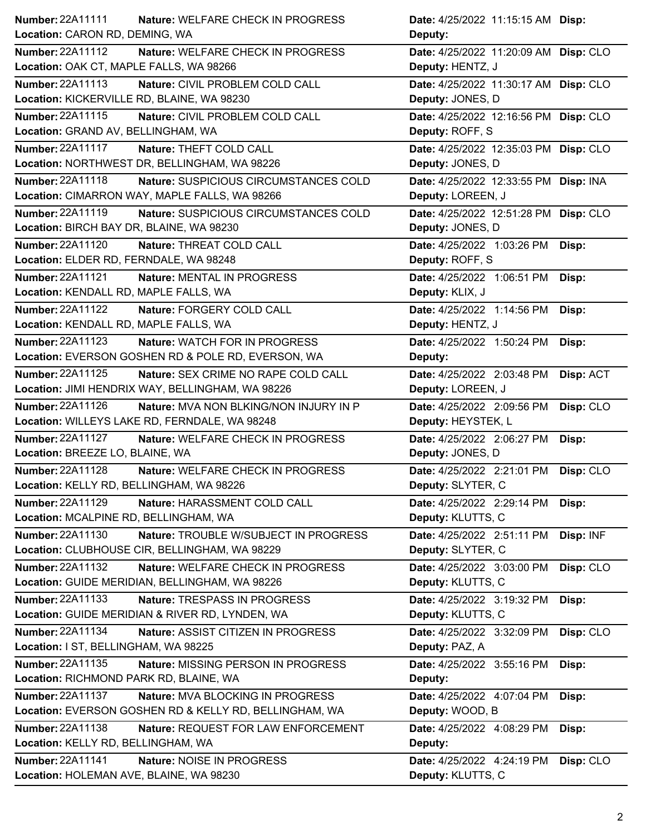| <b>Number: 22A11111</b><br>Nature: WELFARE CHECK IN PROGRESS      | Date: 4/25/2022 11:15:15 AM Disp:       |
|-------------------------------------------------------------------|-----------------------------------------|
| Location: CARON RD, DEMING, WA                                    | Deputy:                                 |
| Number: 22A11112<br>Nature: WELFARE CHECK IN PROGRESS             | Date: 4/25/2022 11:20:09 AM Disp: CLO   |
| Location: OAK CT, MAPLE FALLS, WA 98266                           | Deputy: HENTZ, J                        |
| Number: 22A11113<br>Nature: CIVIL PROBLEM COLD CALL               | Date: 4/25/2022 11:30:17 AM Disp: CLO   |
| Location: KICKERVILLE RD, BLAINE, WA 98230                        | Deputy: JONES, D                        |
| Number: 22A11115<br>Nature: CIVIL PROBLEM COLD CALL               | Date: 4/25/2022 12:16:56 PM Disp: CLO   |
| Location: GRAND AV, BELLINGHAM, WA                                | Deputy: ROFF, S                         |
| <b>Number: 22A11117</b><br>Nature: THEFT COLD CALL                | Date: 4/25/2022 12:35:03 PM Disp: CLO   |
| Location: NORTHWEST DR, BELLINGHAM, WA 98226                      | Deputy: JONES, D                        |
| Number: 22A11118<br>Nature: SUSPICIOUS CIRCUMSTANCES COLD         | Date: 4/25/2022 12:33:55 PM Disp: INA   |
| Location: CIMARRON WAY, MAPLE FALLS, WA 98266                     | Deputy: LOREEN, J                       |
| <b>Number: 22A11119</b><br>Nature: SUSPICIOUS CIRCUMSTANCES COLD  | Date: 4/25/2022 12:51:28 PM Disp: CLO   |
| Location: BIRCH BAY DR, BLAINE, WA 98230                          | Deputy: JONES, D                        |
| Number: 22A11120<br>Nature: THREAT COLD CALL                      | Date: 4/25/2022 1:03:26 PM<br>Disp:     |
| Location: ELDER RD, FERNDALE, WA 98248                            | Deputy: ROFF, S                         |
| <b>Number: 22A11121</b><br>Nature: MENTAL IN PROGRESS             | Date: 4/25/2022 1:06:51 PM<br>Disp:     |
| Location: KENDALL RD, MAPLE FALLS, WA                             | Deputy: KLIX, J                         |
| <b>Number: 22A11122</b><br>Nature: FORGERY COLD CALL              | Date: 4/25/2022 1:14:56 PM<br>Disp:     |
| Location: KENDALL RD, MAPLE FALLS, WA                             | Deputy: HENTZ, J                        |
| <b>Number: 22A11123</b><br>Nature: WATCH FOR IN PROGRESS          | Date: 4/25/2022 1:50:24 PM<br>Disp:     |
| Location: EVERSON GOSHEN RD & POLE RD, EVERSON, WA                | Deputy:                                 |
| Number: 22A11125<br>Nature: SEX CRIME NO RAPE COLD CALL           | Disp: ACT<br>Date: 4/25/2022 2:03:48 PM |
| Location: JIMI HENDRIX WAY, BELLINGHAM, WA 98226                  | Deputy: LOREEN, J                       |
| <b>Number: 22A11126</b><br>Nature: MVA NON BLKING/NON INJURY IN P | Date: 4/25/2022 2:09:56 PM<br>Disp: CLO |
| Location: WILLEYS LAKE RD, FERNDALE, WA 98248                     | Deputy: HEYSTEK, L                      |
| <b>Number: 22A11127</b><br>Nature: WELFARE CHECK IN PROGRESS      | Date: 4/25/2022 2:06:27 PM<br>Disp:     |
| Location: BREEZE LO, BLAINE, WA                                   | Deputy: JONES, D                        |
| <b>Number: 22A11128</b><br>Nature: WELFARE CHECK IN PROGRESS      | Date: 4/25/2022 2:21:01 PM Disp: CLO    |
| Location: KELLY RD, BELLINGHAM, WA 98226                          | Deputy: SLYTER, C                       |
| Number: 22A11129<br>Nature: HARASSMENT COLD CALL                  | Date: 4/25/2022 2:29:14 PM<br>Disp:     |
| Location: MCALPINE RD, BELLINGHAM, WA                             | Deputy: KLUTTS, C                       |
| Number: 22A11130<br>Nature: TROUBLE W/SUBJECT IN PROGRESS         | Date: 4/25/2022 2:51:11 PM<br>Disp: INF |
| Location: CLUBHOUSE CIR, BELLINGHAM, WA 98229                     | Deputy: SLYTER, C                       |
| Number: 22A11132<br>Nature: WELFARE CHECK IN PROGRESS             | Date: 4/25/2022 3:03:00 PM<br>Disp: CLO |
| Location: GUIDE MERIDIAN, BELLINGHAM, WA 98226                    | Deputy: KLUTTS, C                       |
| <b>Number: 22A11133</b><br>Nature: TRESPASS IN PROGRESS           | Date: 4/25/2022 3:19:32 PM<br>Disp:     |
| Location: GUIDE MERIDIAN & RIVER RD, LYNDEN, WA                   | Deputy: KLUTTS, C                       |
|                                                                   |                                         |
| Number: 22A11134<br>Nature: ASSIST CITIZEN IN PROGRESS            | Disp: CLO<br>Date: 4/25/2022 3:32:09 PM |
| Location: I ST, BELLINGHAM, WA 98225                              | Deputy: PAZ, A                          |
| <b>Number: 22A11135</b><br>Nature: MISSING PERSON IN PROGRESS     | Date: 4/25/2022 3:55:16 PM<br>Disp:     |
| Location: RICHMOND PARK RD, BLAINE, WA                            | Deputy:                                 |
| <b>Number: 22A11137</b><br>Nature: MVA BLOCKING IN PROGRESS       | Date: 4/25/2022 4:07:04 PM<br>Disp:     |
| Location: EVERSON GOSHEN RD & KELLY RD, BELLINGHAM, WA            | Deputy: WOOD, B                         |
| <b>Number: 22A11138</b><br>Nature: REQUEST FOR LAW ENFORCEMENT    | Date: 4/25/2022 4:08:29 PM<br>Disp:     |
| Location: KELLY RD, BELLINGHAM, WA                                | Deputy:                                 |
| Number: 22A11141<br>Nature: NOISE IN PROGRESS                     | Date: 4/25/2022 4:24:19 PM<br>Disp: CLO |